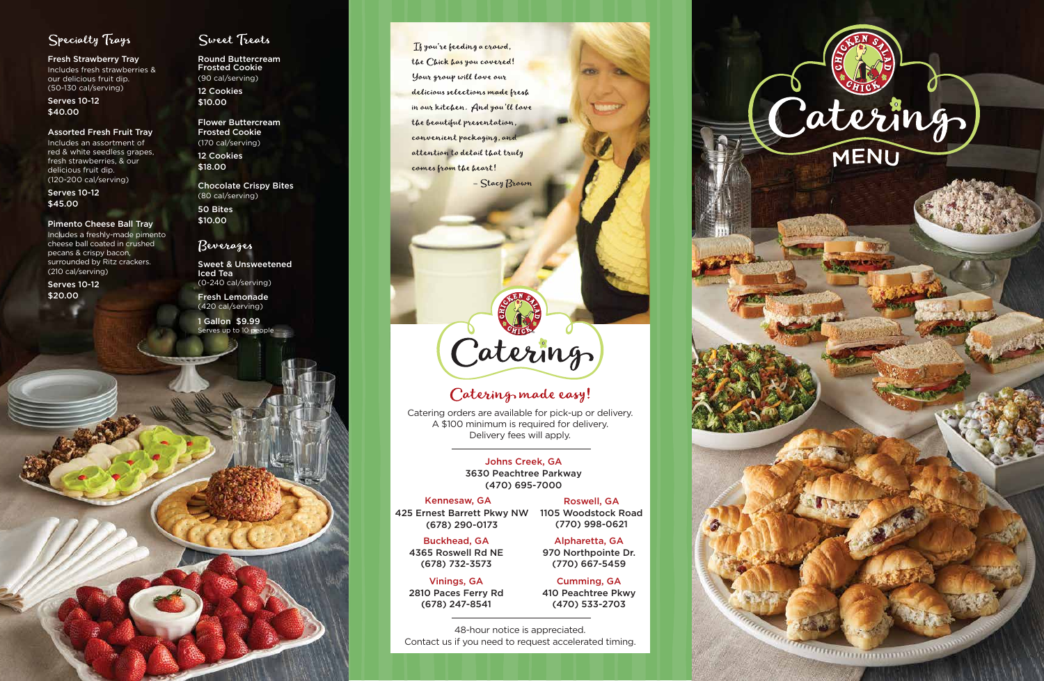

### Specialty Trays

Fresh Strawberry Tray Includes fresh strawberries & our delicious fruit dip. (50-130 cal/serving)

Serves 10-12 \$40.00

#### Assorted F res h Fruit Tray

Includes an assortment of red & white seedless grapes, fresh strawberries, & our delicious fruit dip . (120-200 cal/serving)

Serves 10-12 \$45.00

Pimento Cheese Ball Tray Includes a freshly-mad e pimento cheese b all coated in crushed pecans & cris py bacon, surrounded by Ritz crackers. (210 cal/serving)

> Catering orders are available for pick-up or d elivery. A \$100 minimum is required for delivery. Delivery fees will apply. Catering orders are available for pick-up or delivery.<br>
> A \$100 minimum is required for delivery.<br>
> Delivery fees will apply.<br>
> Johns Creek, GA<br>
> 3630 Peachtree Parkway<br>
> (470) 695-7000<br>
> Kennesaw, GA<br>
> 25 Ernest Barrett Pkwy NW

Serves 10-12 \$20.00

### Sweet Treats

Round Buttercream Frosted Cookie (90 cal/serving) 12 Cookies \$10.00

Flower Buttercrea m Frosted Cookie (170 cal/serving)

12 Cookies \$18.00

Chocolate Crispy Bites (80 cal/serving) 50 Bites \$10.00

#### Beverages

Sweet & Unsweetened Iced Tea (0-240 cal/serving)

Fresh Lemonade (420 cal/serving)

1 Gallon \$9.99 Serves up to 10 people



- Stacy Brown

If you're feeding a crowd, the Chick has you covered! Your group will love our

delicious selections made fresh in our kitchen. And you'll love

the beautiful presentation, convenient packaging, and attention to detail that truly

comes from the heart!

48-h our n otice is app reciated.



Vinings, GA 2810 Paces Ferry Rd (678) 247-8541

Cumming, GA 410 Peachtree Pkwy (470) 533-2703

Buckhead, GA 4365 Roswell Rd NE (678) 732-3573

Alpharetta, GA 970 Northpointe Dr. (770) 667-5459

Roswell, GA (770) 998-0621

425 Ernest Barrett Pkwy NW 1105 Woodstock Road (678) 290-0173 Kennesaw, GA

Johns Creek, GA 3630 Peachtree Parkway (470) 695-7000